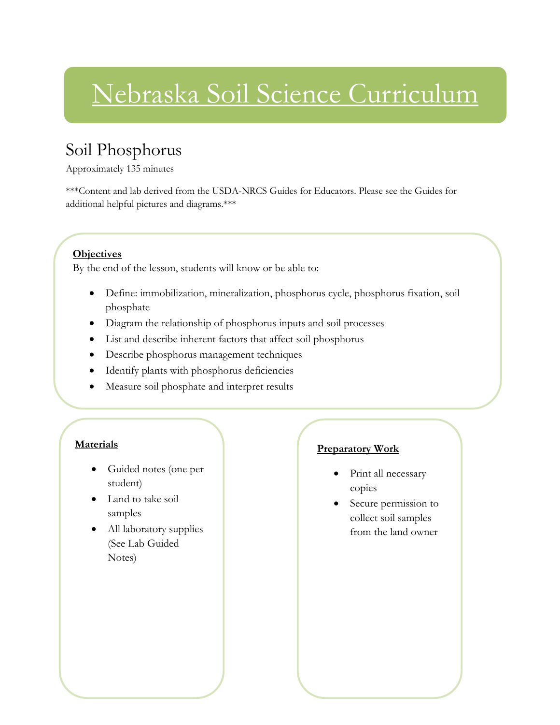# Nebraska Soil Science Curriculum

### Soil Phosphorus

Approximately 135 minutes

\*\*\*Content and lab derived from the USDA-NRCS Guides for Educators. Please see the Guides for additional helpful pictures and diagrams.\*\*\*

#### **Objectives**

By the end of the lesson, students will know or be able to:

- Define: immobilization, mineralization, phosphorus cycle, phosphorus fixation, soil phosphate
- Diagram the relationship of phosphorus inputs and soil processes
- List and describe inherent factors that affect soil phosphorus
- Describe phosphorus management techniques
- Identify plants with phosphorus deficiencies
- Measure soil phosphate and interpret results

### **Materials**

- Guided notes (one per student)
- Land to take soil samples
- All laboratory supplies (See Lab Guided Notes)

### **Preparatory Work**

- Print all necessary copies
- Secure permission to collect soil samples from the land owner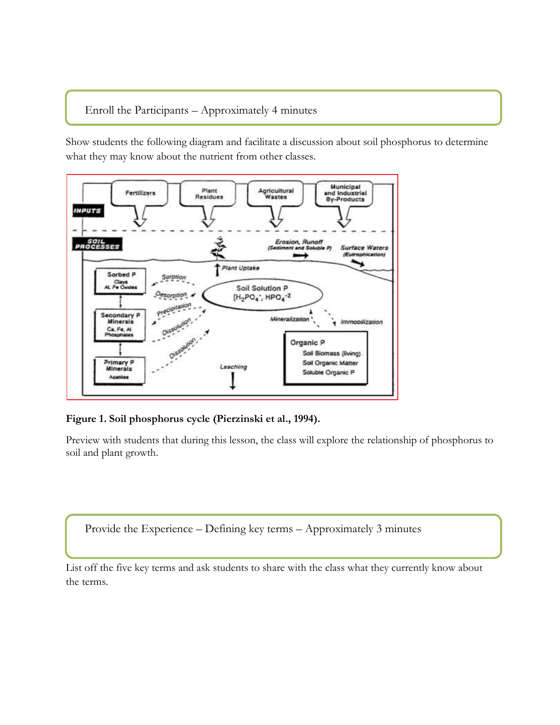### Enroll the Participants – Approximately 4 minutes

l

Show students the following diagram and facilitate a discussion about soil phosphorus to determine what they may know about the nutrient from other classes.



**Figure 1. Soil phosphorus cycle (Pierzinski et al., 1994).**

Preview with students that during this lesson, the class will explore the relationship of phosphorus to soil and plant growth.

Provide the Experience – Defining key terms – Approximately 3 minutes

List off the five key terms and ask students to share with the class what they currently know about the terms.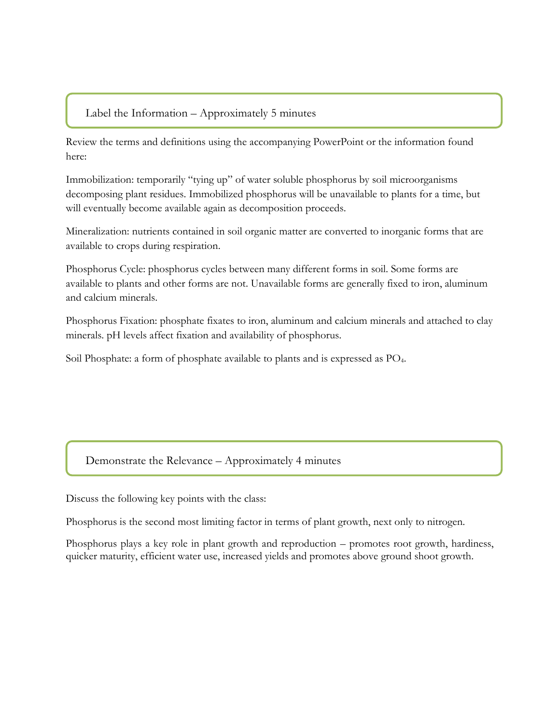### Label the Information – Approximately 5 minutes

Review the terms and definitions using the accompanying PowerPoint or the information found here:

Immobilization: temporarily "tying up" of water soluble phosphorus by soil microorganisms decomposing plant residues. Immobilized phosphorus will be unavailable to plants for a time, but will eventually become available again as decomposition proceeds.

Mineralization: nutrients contained in soil organic matter are converted to inorganic forms that are available to crops during respiration.

Phosphorus Cycle: phosphorus cycles between many different forms in soil. Some forms are available to plants and other forms are not. Unavailable forms are generally fixed to iron, aluminum and calcium minerals.

Phosphorus Fixation: phosphate fixates to iron, aluminum and calcium minerals and attached to clay minerals. pH levels affect fixation and availability of phosphorus.

Soil Phosphate: a form of phosphate available to plants and is expressed as PO4.

### Demonstrate the Relevance – Approximately 4 minutes

Discuss the following key points with the class:

Phosphorus is the second most limiting factor in terms of plant growth, next only to nitrogen.

Phosphorus plays a key role in plant growth and reproduction – promotes root growth, hardiness, quicker maturity, efficient water use, increased yields and promotes above ground shoot growth.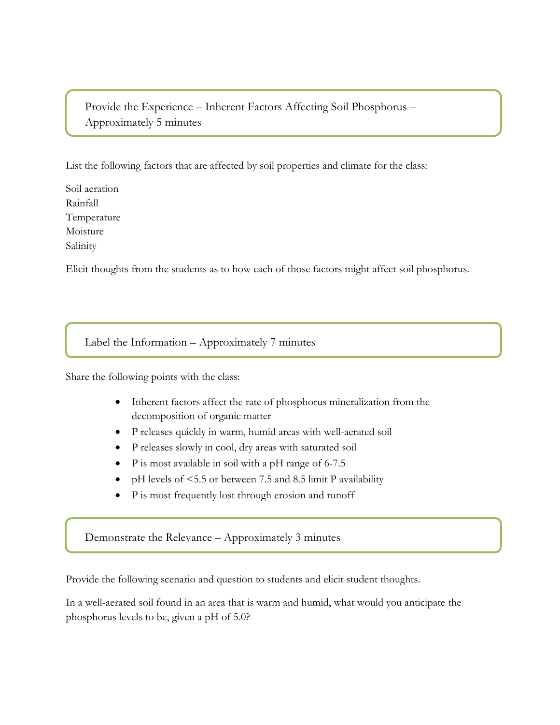Provide the Experience – Inherent Factors Affecting Soil Phosphorus – Approximately 5 minutes

List the following factors that are affected by soil properties and climate for the class:

Soil aeration Rainfall Temperature Moisture Salinity

Elicit thoughts from the students as to how each of those factors might affect soil phosphorus.

Label the Information – Approximately 7 minutes

Share the following points with the class:

- Inherent factors affect the rate of phosphorus mineralization from the decomposition of organic matter
- P releases quickly in warm, humid areas with well-aerated soil
- P releases slowly in cool, dry areas with saturated soil
- P is most available in soil with a pH range of 6-7.5
- pH levels of <5.5 or between 7.5 and 8.5 limit P availability
- P is most frequently lost through erosion and runoff

Demonstrate the Relevance – Approximately 3 minutes

Provide the following scenario and question to students and elicit student thoughts.

In a well-aerated soil found in an area that is warm and humid, what would you anticipate the phosphorus levels to be, given a pH of 5.0?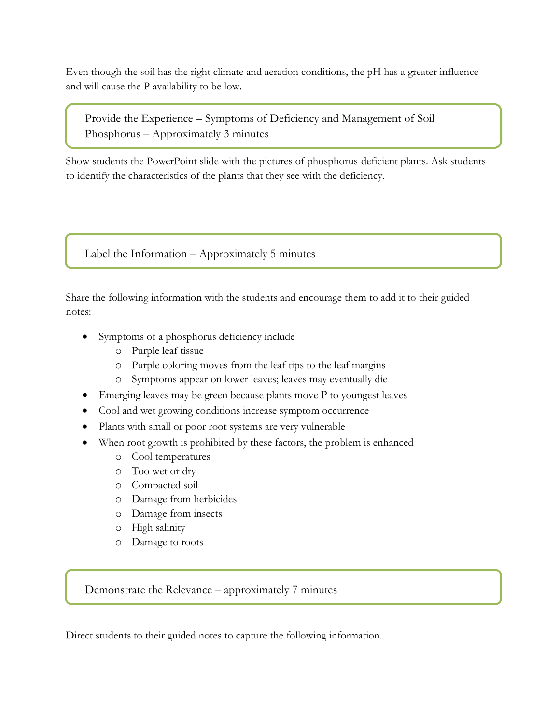Even though the soil has the right climate and aeration conditions, the pH has a greater influence and will cause the P availability to be low.

Provide the Experience – Symptoms of Deficiency and Management of Soil Phosphorus – Approximately 3 minutes

Show students the PowerPoint slide with the pictures of phosphorus-deficient plants. Ask students to identify the characteristics of the plants that they see with the deficiency.

Label the Information – Approximately 5 minutes

Share the following information with the students and encourage them to add it to their guided notes:

- Symptoms of a phosphorus deficiency include
	- o Purple leaf tissue
	- o Purple coloring moves from the leaf tips to the leaf margins
	- o Symptoms appear on lower leaves; leaves may eventually die
- Emerging leaves may be green because plants move P to youngest leaves
- Cool and wet growing conditions increase symptom occurrence
- Plants with small or poor root systems are very vulnerable
- When root growth is prohibited by these factors, the problem is enhanced
	- o Cool temperatures
	- o Too wet or dry
	- o Compacted soil
	- o Damage from herbicides
	- o Damage from insects
	- o High salinity
	- o Damage to roots

Demonstrate the Relevance – approximately 7 minutes

Direct students to their guided notes to capture the following information.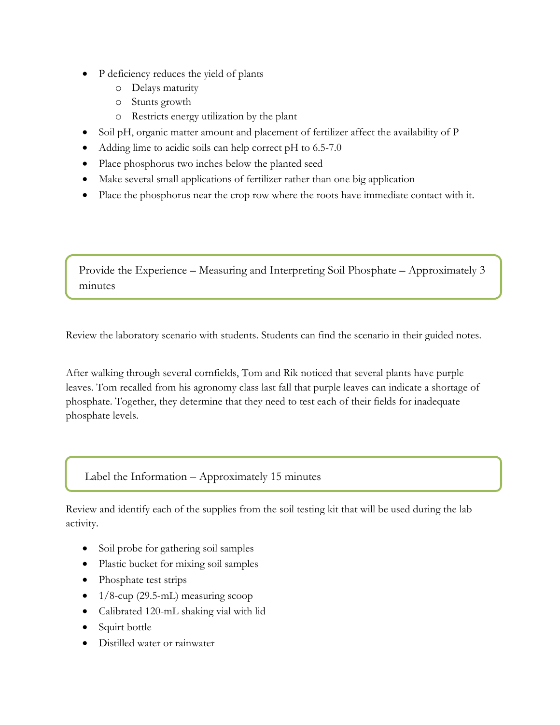- P deficiency reduces the yield of plants
	- o Delays maturity
	- o Stunts growth
	- o Restricts energy utilization by the plant
- Soil pH, organic matter amount and placement of fertilizer affect the availability of P
- Adding lime to acidic soils can help correct pH to 6.5-7.0
- Place phosphorus two inches below the planted seed
- Make several small applications of fertilizer rather than one big application
- Place the phosphorus near the crop row where the roots have immediate contact with it.

Provide the Experience – Measuring and Interpreting Soil Phosphate – Approximately 3 minutes

Review the laboratory scenario with students. Students can find the scenario in their guided notes.

After walking through several cornfields, Tom and Rik noticed that several plants have purple leaves. Tom recalled from his agronomy class last fall that purple leaves can indicate a shortage of phosphate. Together, they determine that they need to test each of their fields for inadequate phosphate levels.

Label the Information – Approximately 15 minutes

Review and identify each of the supplies from the soil testing kit that will be used during the lab activity.

- Soil probe for gathering soil samples
- Plastic bucket for mixing soil samples
- Phosphate test strips
- $\bullet$  1/8-cup (29.5-mL) measuring scoop
- Calibrated 120-mL shaking vial with lid
- Squirt bottle
- Distilled water or rainwater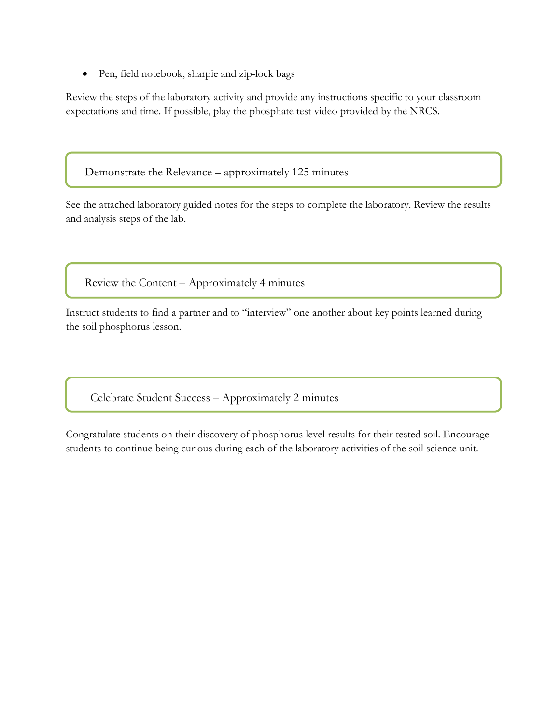Pen, field notebook, sharpie and zip-lock bags

Review the steps of the laboratory activity and provide any instructions specific to your classroom expectations and time. If possible, play the phosphate test video provided by the NRCS.

Demonstrate the Relevance – approximately 125 minutes

See the attached laboratory guided notes for the steps to complete the laboratory. Review the results and analysis steps of the lab.

Review the Content – Approximately 4 minutes

Instruct students to find a partner and to "interview" one another about key points learned during the soil phosphorus lesson.

Celebrate Student Success – Approximately 2 minutes

Congratulate students on their discovery of phosphorus level results for their tested soil. Encourage students to continue being curious during each of the laboratory activities of the soil science unit.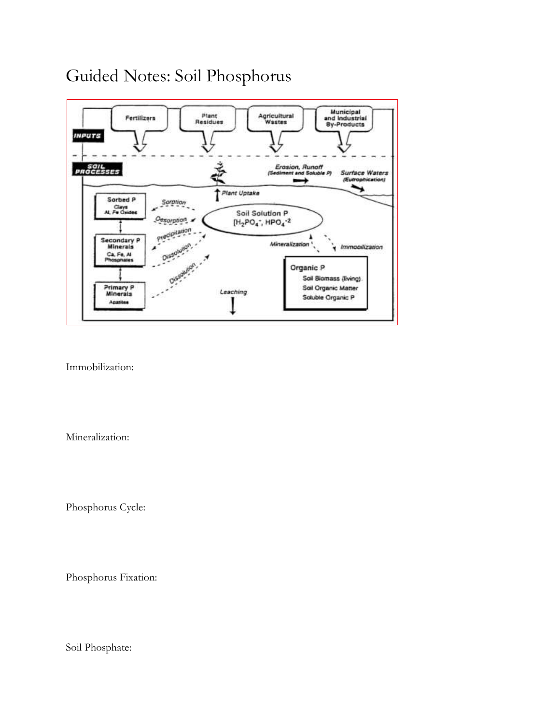### Guided Notes: Soil Phosphorus



Immobilization:

Mineralization:

Phosphorus Cycle:

Phosphorus Fixation:

Soil Phosphate: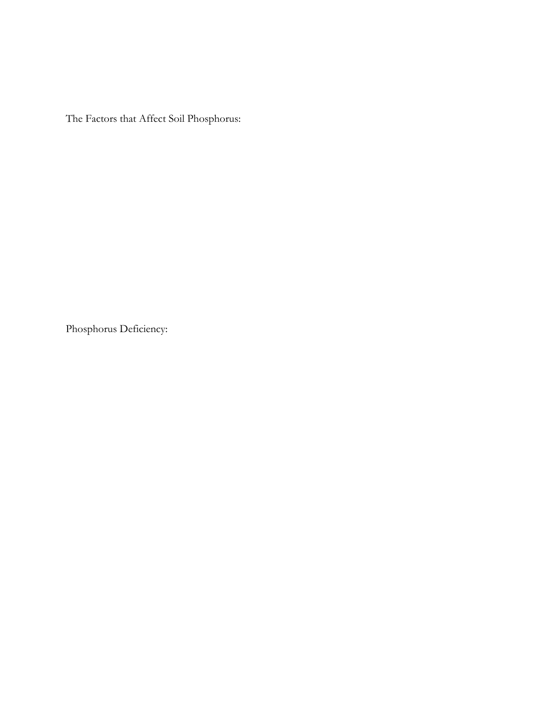The Factors that Affect Soil Phosphorus:

Phosphorus Deficiency: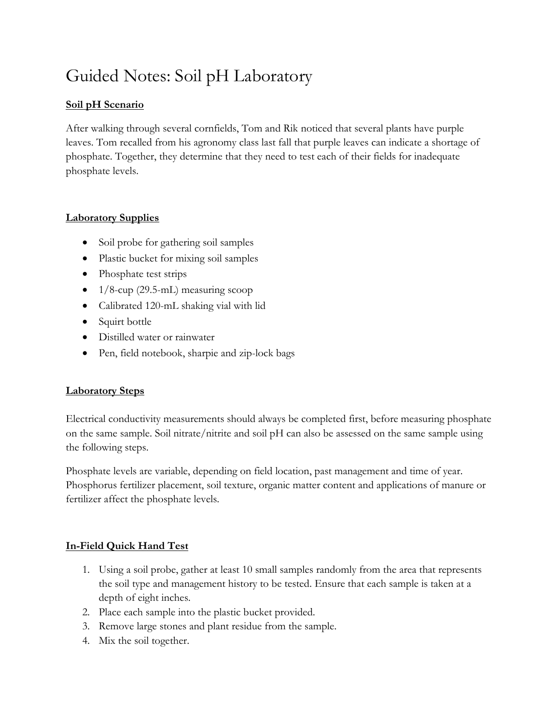## Guided Notes: Soil pH Laboratory

### **Soil pH Scenario**

After walking through several cornfields, Tom and Rik noticed that several plants have purple leaves. Tom recalled from his agronomy class last fall that purple leaves can indicate a shortage of phosphate. Together, they determine that they need to test each of their fields for inadequate phosphate levels.

### **Laboratory Supplies**

- Soil probe for gathering soil samples
- Plastic bucket for mixing soil samples
- Phosphate test strips
- $\bullet$  1/8-cup (29.5-mL) measuring scoop
- Calibrated 120-mL shaking vial with lid
- Squirt bottle
- Distilled water or rainwater
- Pen, field notebook, sharpie and zip-lock bags

### **Laboratory Steps**

Electrical conductivity measurements should always be completed first, before measuring phosphate on the same sample. Soil nitrate/nitrite and soil pH can also be assessed on the same sample using the following steps.

Phosphate levels are variable, depending on field location, past management and time of year. Phosphorus fertilizer placement, soil texture, organic matter content and applications of manure or fertilizer affect the phosphate levels.

### **In-Field Quick Hand Test**

- 1. Using a soil probe, gather at least 10 small samples randomly from the area that represents the soil type and management history to be tested. Ensure that each sample is taken at a depth of eight inches.
- 2. Place each sample into the plastic bucket provided.
- 3. Remove large stones and plant residue from the sample.
- 4. Mix the soil together.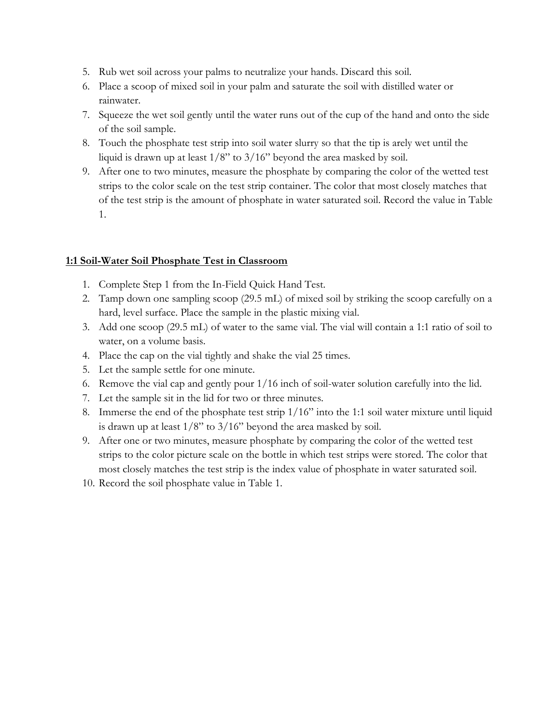- 5. Rub wet soil across your palms to neutralize your hands. Discard this soil.
- 6. Place a scoop of mixed soil in your palm and saturate the soil with distilled water or rainwater.
- 7. Squeeze the wet soil gently until the water runs out of the cup of the hand and onto the side of the soil sample.
- 8. Touch the phosphate test strip into soil water slurry so that the tip is arely wet until the liquid is drawn up at least  $1/8$ " to  $3/16$ " beyond the area masked by soil.
- 9. After one to two minutes, measure the phosphate by comparing the color of the wetted test strips to the color scale on the test strip container. The color that most closely matches that of the test strip is the amount of phosphate in water saturated soil. Record the value in Table 1.

#### **1:1 Soil-Water Soil Phosphate Test in Classroom**

- 1. Complete Step 1 from the In-Field Quick Hand Test.
- 2. Tamp down one sampling scoop (29.5 mL) of mixed soil by striking the scoop carefully on a hard, level surface. Place the sample in the plastic mixing vial.
- 3. Add one scoop (29.5 mL) of water to the same vial. The vial will contain a 1:1 ratio of soil to water, on a volume basis.
- 4. Place the cap on the vial tightly and shake the vial 25 times.
- 5. Let the sample settle for one minute.
- 6. Remove the vial cap and gently pour 1/16 inch of soil-water solution carefully into the lid.
- 7. Let the sample sit in the lid for two or three minutes.
- 8. Immerse the end of the phosphate test strip 1/16" into the 1:1 soil water mixture until liquid is drawn up at least  $1/8$ " to  $3/16$ " beyond the area masked by soil.
- 9. After one or two minutes, measure phosphate by comparing the color of the wetted test strips to the color picture scale on the bottle in which test strips were stored. The color that most closely matches the test strip is the index value of phosphate in water saturated soil.
- 10. Record the soil phosphate value in Table 1.